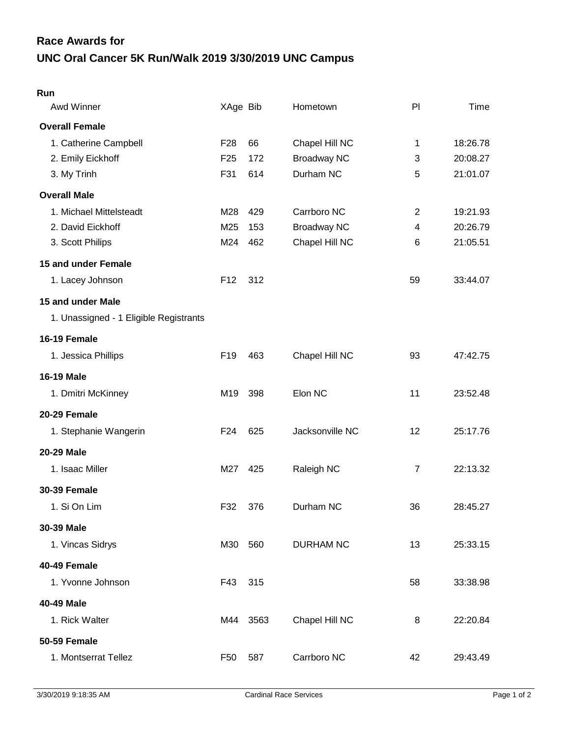## **UNC Oral Cancer 5K Run/Walk 2019 3/30/2019 UNC Campus Race Awards for**

| Awd Winner                             | XAge Bib        |      | Hometown           | PI             | Time     |
|----------------------------------------|-----------------|------|--------------------|----------------|----------|
| <b>Overall Female</b>                  |                 |      |                    |                |          |
| 1. Catherine Campbell                  | F <sub>28</sub> | 66   | Chapel Hill NC     | 1              | 18:26.78 |
| 2. Emily Eickhoff                      | F <sub>25</sub> | 172  | <b>Broadway NC</b> | 3              | 20:08.27 |
| 3. My Trinh                            | F31             | 614  | Durham NC          | 5              | 21:01.07 |
| <b>Overall Male</b>                    |                 |      |                    |                |          |
| 1. Michael Mittelsteadt                | M28             | 429  | Carrboro NC        | $\overline{2}$ | 19:21.93 |
| 2. David Eickhoff                      | M25             | 153  | <b>Broadway NC</b> | 4              | 20:26.79 |
| 3. Scott Philips                       | M24             | 462  | Chapel Hill NC     | 6              | 21:05.51 |
| 15 and under Female                    |                 |      |                    |                |          |
| 1. Lacey Johnson                       | F <sub>12</sub> | 312  |                    | 59             | 33:44.07 |
| 15 and under Male                      |                 |      |                    |                |          |
| 1. Unassigned - 1 Eligible Registrants |                 |      |                    |                |          |
| 16-19 Female                           |                 |      |                    |                |          |
| 1. Jessica Phillips                    | F <sub>19</sub> | 463  | Chapel Hill NC     | 93             | 47:42.75 |
| <b>16-19 Male</b>                      |                 |      |                    |                |          |
| 1. Dmitri McKinney                     | M19             | 398  | Elon NC            | 11             | 23:52.48 |
| 20-29 Female                           |                 |      |                    |                |          |
| 1. Stephanie Wangerin                  | F <sub>24</sub> | 625  | Jacksonville NC    | 12             | 25:17.76 |
| 20-29 Male                             |                 |      |                    |                |          |
| 1. Isaac Miller                        | M27             | 425  | Raleigh NC         | $\overline{7}$ | 22:13.32 |
| <b>30-39 Female</b>                    |                 |      |                    |                |          |
| 1. Si On Lim                           | F32             | 376  | Durham NC          | 36             | 28:45.27 |
| 30-39 Male                             |                 |      |                    |                |          |
| 1. Vincas Sidrys                       | M30             | 560  | <b>DURHAM NC</b>   | 13             | 25:33.15 |
| 40-49 Female                           |                 |      |                    |                |          |
| 1. Yvonne Johnson                      | F43             | 315  |                    | 58             | 33:38.98 |
| 40-49 Male                             |                 |      |                    |                |          |
| 1. Rick Walter                         | M44             | 3563 | Chapel Hill NC     | 8              | 22:20.84 |
| <b>50-59 Female</b>                    |                 |      |                    |                |          |
| 1. Montserrat Tellez                   | F50             | 587  | Carrboro NC        | 42             | 29:43.49 |
|                                        |                 |      |                    |                |          |